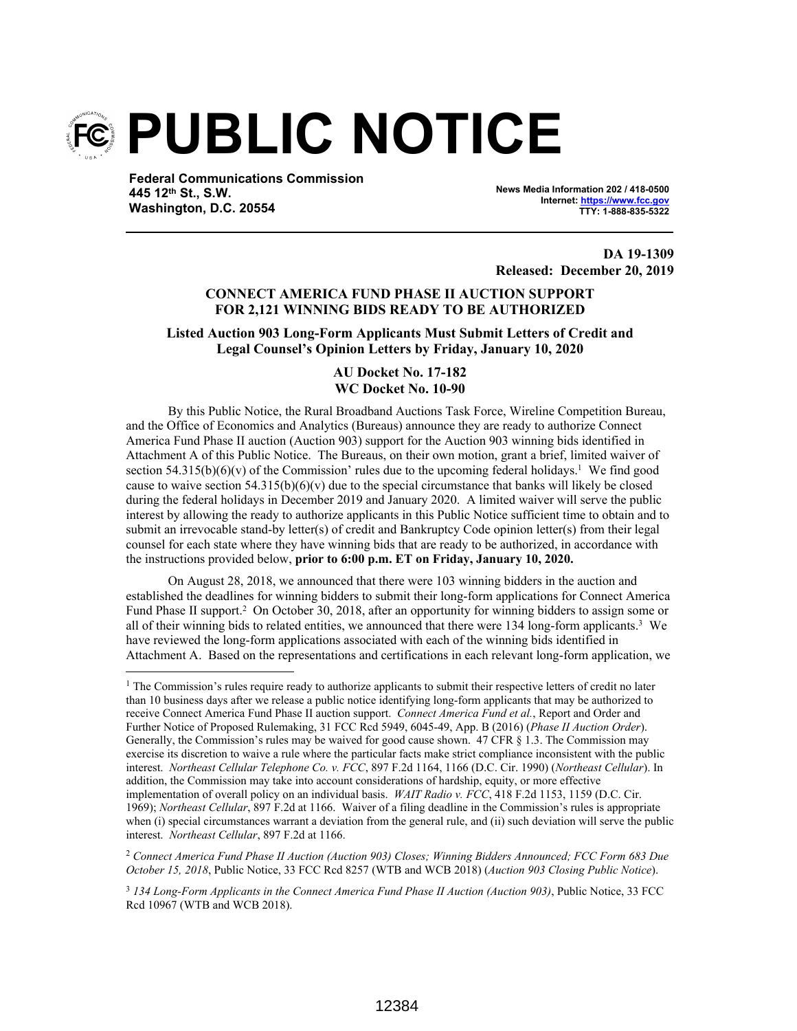

**Federal Communications Commission 445 12th St., S.W. Washington, D.C. 20554**

**News Media Information 202 / 418-0500 Internet: https://www.fcc.gov TTY: 1-888-835-5322**

**DA 19-1309 Released: December 20, 2019**

# **CONNECT AMERICA FUND PHASE II AUCTION SUPPORT FOR 2,121 WINNING BIDS READY TO BE AUTHORIZED**

**Listed Auction 903 Long-Form Applicants Must Submit Letters of Credit and Legal Counsel's Opinion Letters by Friday, January 10, 2020**

# **AU Docket No. 17-182 WC Docket No. 10-90**

By this Public Notice, the Rural Broadband Auctions Task Force, Wireline Competition Bureau, and the Office of Economics and Analytics (Bureaus) announce they are ready to authorize Connect America Fund Phase II auction (Auction 903) support for the Auction 903 winning bids identified in Attachment A of this Public Notice. The Bureaus, on their own motion, grant a brief, limited waiver of section  $54.315(b)(6)(v)$  of the Commission' rules due to the upcoming federal holidays.<sup>1</sup> We find good cause to waive section  $54.315(b)(6)(v)$  due to the special circumstance that banks will likely be closed during the federal holidays in December 2019 and January 2020. A limited waiver will serve the public interest by allowing the ready to authorize applicants in this Public Notice sufficient time to obtain and to submit an irrevocable stand-by letter(s) of credit and Bankruptcy Code opinion letter(s) from their legal counsel for each state where they have winning bids that are ready to be authorized, in accordance with the instructions provided below, **prior to 6:00 p.m. ET on Friday, January 10, 2020.**

On August 28, 2018, we announced that there were 103 winning bidders in the auction and established the deadlines for winning bidders to submit their long-form applications for Connect America Fund Phase II support.<sup>2</sup> On October 30, 2018, after an opportunity for winning bidders to assign some or all of their winning bids to related entities, we announced that there were 134 long-form applicants.<sup>3</sup> We have reviewed the long-form applications associated with each of the winning bids identified in Attachment A. Based on the representations and certifications in each relevant long-form application, we

<sup>2</sup> *Connect America Fund Phase II Auction (Auction 903) Closes; Winning Bidders Announced; FCC Form 683 Due October 15, 2018*, Public Notice, 33 FCC Rcd 8257 (WTB and WCB 2018) (*Auction 903 Closing Public Notice*).

<sup>&</sup>lt;sup>1</sup> The Commission's rules require ready to authorize applicants to submit their respective letters of credit no later than 10 business days after we release a public notice identifying long-form applicants that may be authorized to receive Connect America Fund Phase II auction support. *Connect America Fund et al.*, Report and Order and Further Notice of Proposed Rulemaking, 31 FCC Rcd 5949, 6045-49, App. B (2016) (*Phase II Auction Order*). Generally, the Commission's rules may be waived for good cause shown. 47 CFR § 1.3. The Commission may exercise its discretion to waive a rule where the particular facts make strict compliance inconsistent with the public interest. *Northeast Cellular Telephone Co. v. FCC*, 897 F.2d 1164, 1166 (D.C. Cir. 1990) (*Northeast Cellular*). In addition, the Commission may take into account considerations of hardship, equity, or more effective implementation of overall policy on an individual basis. *WAIT Radio v. FCC*, 418 F.2d 1153, 1159 (D.C. Cir. 1969); *Northeast Cellular*, 897 F.2d at 1166. Waiver of a filing deadline in the Commission's rules is appropriate when (i) special circumstances warrant a deviation from the general rule, and (ii) such deviation will serve the public interest. *Northeast Cellular*, 897 F.2d at 1166.

<sup>3</sup> *134 Long-Form Applicants in the Connect America Fund Phase II Auction (Auction 903)*, Public Notice, 33 FCC Rcd 10967 (WTB and WCB 2018).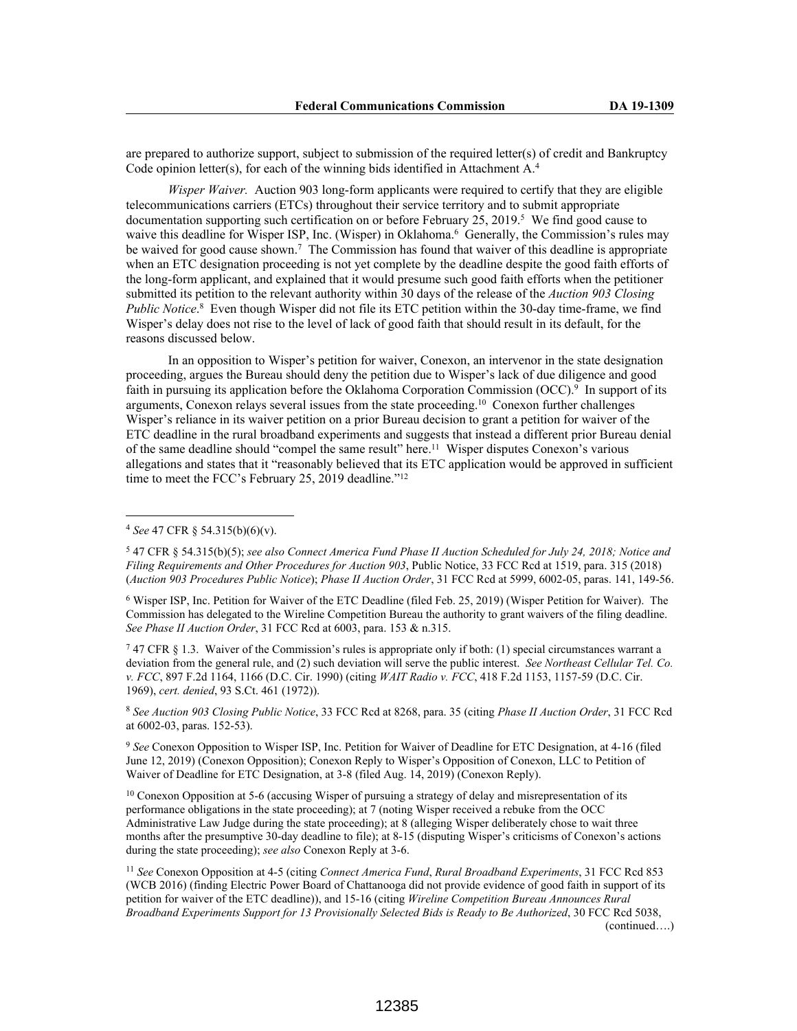are prepared to authorize support, subject to submission of the required letter(s) of credit and Bankruptcy Code opinion letter(s), for each of the winning bids identified in Attachment A.<sup>4</sup>

*Wisper Waiver.* Auction 903 long-form applicants were required to certify that they are eligible telecommunications carriers (ETCs) throughout their service territory and to submit appropriate documentation supporting such certification on or before February  $25$ ,  $2019$ .<sup>5</sup> We find good cause to waive this deadline for Wisper ISP, Inc. (Wisper) in Oklahoma.<sup>6</sup> Generally, the Commission's rules may be waived for good cause shown.<sup>7</sup> The Commission has found that waiver of this deadline is appropriate when an ETC designation proceeding is not yet complete by the deadline despite the good faith efforts of the long-form applicant, and explained that it would presume such good faith efforts when the petitioner submitted its petition to the relevant authority within 30 days of the release of the *Auction 903 Closing*  Public Notice.<sup>8</sup> Even though Wisper did not file its ETC petition within the 30-day time-frame, we find Wisper's delay does not rise to the level of lack of good faith that should result in its default, for the reasons discussed below.

In an opposition to Wisper's petition for waiver, Conexon, an intervenor in the state designation proceeding, argues the Bureau should deny the petition due to Wisper's lack of due diligence and good faith in pursuing its application before the Oklahoma Corporation Commission (OCC).<sup>9</sup> In support of its arguments, Conexon relays several issues from the state proceeding.<sup>10</sup> Conexon further challenges Wisper's reliance in its waiver petition on a prior Bureau decision to grant a petition for waiver of the ETC deadline in the rural broadband experiments and suggests that instead a different prior Bureau denial of the same deadline should "compel the same result" here.<sup>11</sup> Wisper disputes Conexon's various allegations and states that it "reasonably believed that its ETC application would be approved in sufficient time to meet the FCC's February 25, 2019 deadline."<sup>12</sup>

6 Wisper ISP, Inc. Petition for Waiver of the ETC Deadline (filed Feb. 25, 2019) (Wisper Petition for Waiver). The Commission has delegated to the Wireline Competition Bureau the authority to grant waivers of the filing deadline. *See Phase II Auction Order*, 31 FCC Rcd at 6003, para. 153 & n.315.

7 47 CFR § 1.3. Waiver of the Commission's rules is appropriate only if both: (1) special circumstances warrant a deviation from the general rule, and (2) such deviation will serve the public interest. *See Northeast Cellular Tel. Co. v. FCC*, 897 F.2d 1164, 1166 (D.C. Cir. 1990) (citing *WAIT Radio v. FCC*, 418 F.2d 1153, 1157-59 (D.C. Cir. 1969), *cert. denied*, 93 S.Ct. 461 (1972)).

<sup>8</sup> *See Auction 903 Closing Public Notice*, 33 FCC Rcd at 8268, para. 35 (citing *Phase II Auction Order*, 31 FCC Rcd at 6002-03, paras. 152-53).

<sup>9</sup> *See* Conexon Opposition to Wisper ISP, Inc. Petition for Waiver of Deadline for ETC Designation, at 4-16 (filed June 12, 2019) (Conexon Opposition); Conexon Reply to Wisper's Opposition of Conexon, LLC to Petition of Waiver of Deadline for ETC Designation, at 3-8 (filed Aug. 14, 2019) (Conexon Reply).

<sup>10</sup> Conexon Opposition at 5-6 (accusing Wisper of pursuing a strategy of delay and misrepresentation of its performance obligations in the state proceeding); at 7 (noting Wisper received a rebuke from the OCC Administrative Law Judge during the state proceeding); at 8 (alleging Wisper deliberately chose to wait three months after the presumptive 30-day deadline to file); at 8-15 (disputing Wisper's criticisms of Conexon's actions during the state proceeding); *see also* Conexon Reply at 3-6.

<sup>11</sup> *See* Conexon Opposition at 4-5 (citing *Connect America Fund*, *Rural Broadband Experiments*, 31 FCC Rcd 853 (WCB 2016) (finding Electric Power Board of Chattanooga did not provide evidence of good faith in support of its petition for waiver of the ETC deadline)), and 15-16 (citing *Wireline Competition Bureau Announces Rural Broadband Experiments Support for 13 Provisionally Selected Bids is Ready to Be Authorized*, 30 FCC Rcd 5038, (continued….)

<sup>4</sup> *See* 47 CFR § 54.315(b)(6)(v).

<sup>5</sup> 47 CFR § 54.315(b)(5); *see also Connect America Fund Phase II Auction Scheduled for July 24, 2018; Notice and Filing Requirements and Other Procedures for Auction 903*, Public Notice, 33 FCC Rcd at 1519, para. 315 (2018) (*Auction 903 Procedures Public Notice*); *Phase II Auction Order*, 31 FCC Rcd at 5999, 6002-05, paras. 141, 149-56.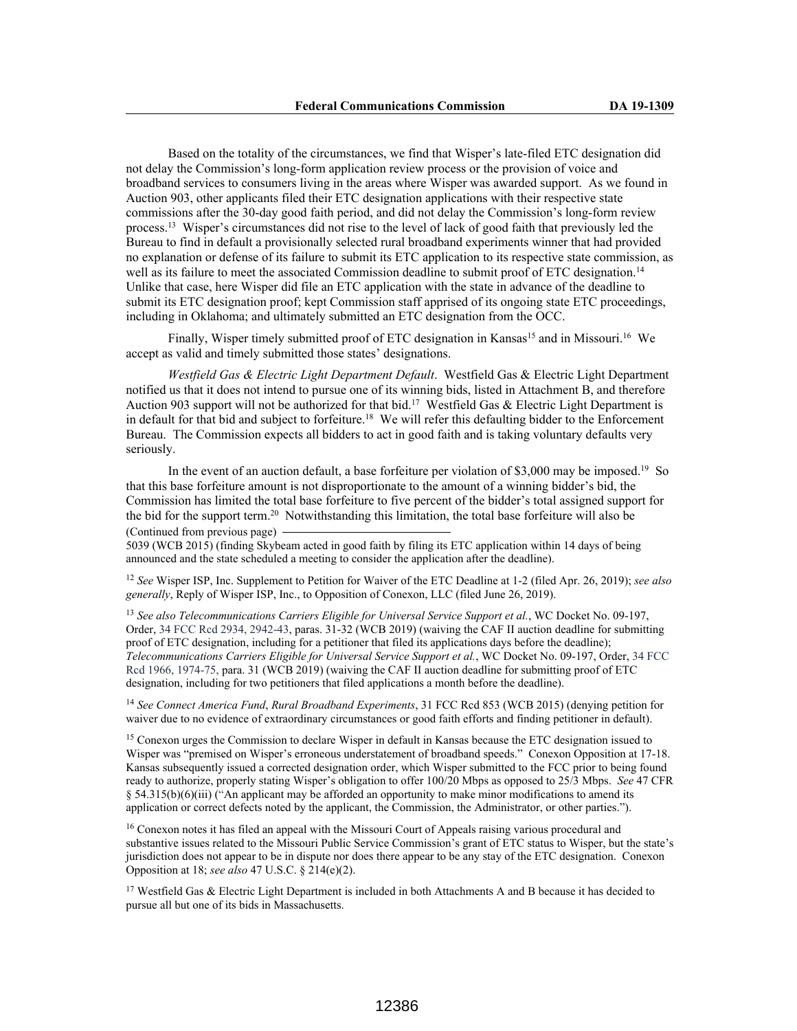Based on the totality of the circumstances, we find that Wisper's late-filed ETC designation did not delay the Commission's long-form application review process or the provision of voice and broadband services to consumers living in the areas where Wisper was awarded support. As we found in Auction 903, other applicants filed their ETC designation applications with their respective state commissions after the 30-day good faith period, and did not delay the Commission's long-form review process.<sup>13</sup> Wisper's circumstances did not rise to the level of lack of good faith that previously led the Bureau to find in default a provisionally selected rural broadband experiments winner that had provided no explanation or defense of its failure to submit its ETC application to its respective state commission, as well as its failure to meet the associated Commission deadline to submit proof of ETC designation.<sup>14</sup> Unlike that case, here Wisper did file an ETC application with the state in advance of the deadline to submit its ETC designation proof; kept Commission staff apprised of its ongoing state ETC proceedings, including in Oklahoma; and ultimately submitted an ETC designation from the OCC.

Finally, Wisper timely submitted proof of ETC designation in Kansas<sup>15</sup> and in Missouri.<sup>16</sup> We accept as valid and timely submitted those states' designations.

*Westfield Gas & Electric Light Department Default*. Westfield Gas & Electric Light Department notified us that it does not intend to pursue one of its winning bids, listed in Attachment B, and therefore Auction 903 support will not be authorized for that bid.<sup>17</sup> Westfield Gas & Electric Light Department is in default for that bid and subject to forfeiture.<sup>18</sup> We will refer this defaulting bidder to the Enforcement Bureau. The Commission expects all bidders to act in good faith and is taking voluntary defaults very seriously.

In the event of an auction default, a base for feiture per violation of \$3,000 may be imposed.<sup>19</sup> So that this base forfeiture amount is not disproportionate to the amount of a winning bidder's bid, the Commission has limited the total base forfeiture to five percent of the bidder's total assigned support for the bid for the support term.<sup>20</sup> Notwithstanding this limitation, the total base forfeiture will also be (Continued from previous page)

5039 (WCB 2015) (finding Skybeam acted in good faith by filing its ETC application within 14 days of being announced and the state scheduled a meeting to consider the application after the deadline).

<sup>12</sup> *See* Wisper ISP, Inc. Supplement to Petition for Waiver of the ETC Deadline at 1-2 (filed Apr. 26, 2019); *see also generally*, Reply of Wisper ISP, Inc., to Opposition of Conexon, LLC (filed June 26, 2019).

<sup>13</sup> *See also Telecommunications Carriers Eligible for Universal Service Support et al.*, WC Docket No. 09-197, Order, 34 FCC Rcd 2934, 2942-43, paras. 31-32 (WCB 2019) (waiving the CAF II auction deadline for submitting proof of ETC designation, including for a petitioner that filed its applications days before the deadline); *Telecommunications Carriers Eligible for Universal Service Support et al.*, WC Docket No. 09-197, Order, 34 FCC Rcd 1966, 1974-75, para. 31 (WCB 2019) (waiving the CAF II auction deadline for submitting proof of ETC designation, including for two petitioners that filed applications a month before the deadline).

<sup>14</sup> *See Connect America Fund*, *Rural Broadband Experiments*, 31 FCC Rcd 853 (WCB 2015) (denying petition for waiver due to no evidence of extraordinary circumstances or good faith efforts and finding petitioner in default).

<sup>15</sup> Conexon urges the Commission to declare Wisper in default in Kansas because the ETC designation issued to Wisper was "premised on Wisper's erroneous understatement of broadband speeds." Conexon Opposition at 17-18. Kansas subsequently issued a corrected designation order, which Wisper submitted to the FCC prior to being found ready to authorize, properly stating Wisper's obligation to offer 100/20 Mbps as opposed to 25/3 Mbps. *See* 47 CFR § 54.315(b)(6)(iii) ("An applicant may be afforded an opportunity to make minor modifications to amend its application or correct defects noted by the applicant, the Commission, the Administrator, or other parties.").

<sup>16</sup> Conexon notes it has filed an appeal with the Missouri Court of Appeals raising various procedural and substantive issues related to the Missouri Public Service Commission's grant of ETC status to Wisper, but the state's jurisdiction does not appear to be in dispute nor does there appear to be any stay of the ETC designation. Conexon Opposition at 18; *see also* 47 U.S.C. § 214(e)(2).

<sup>17</sup> Westfield Gas & Electric Light Department is included in both Attachments A and B because it has decided to pursue all but one of its bids in Massachusetts.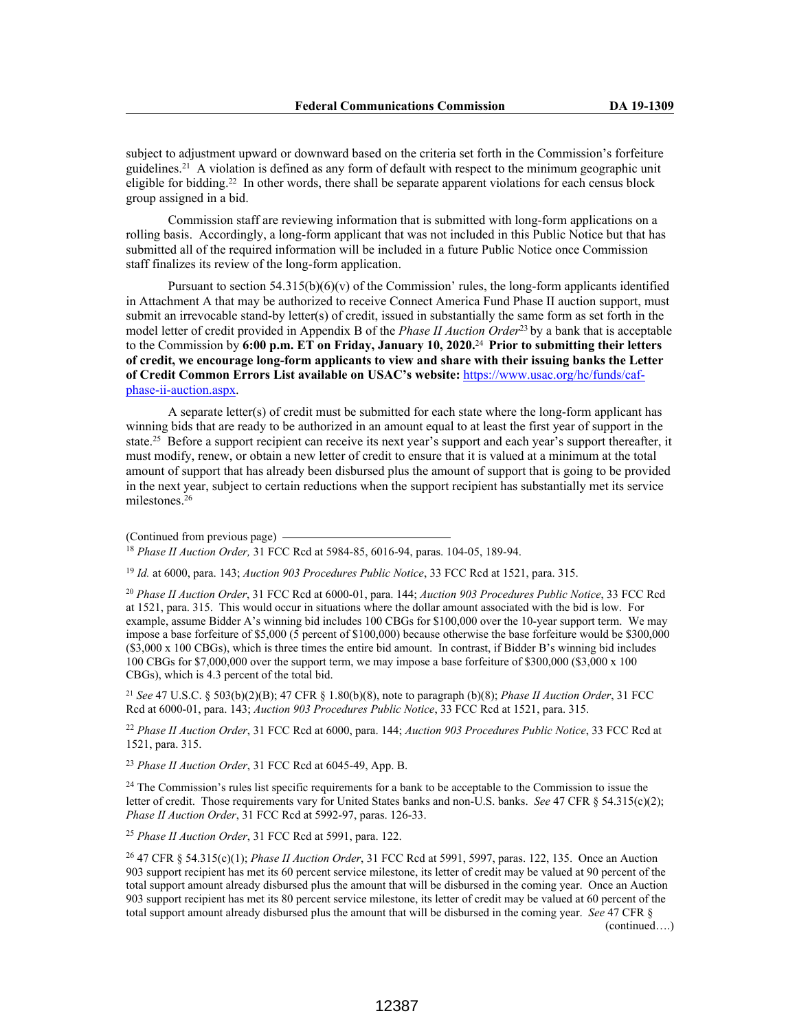subject to adjustment upward or downward based on the criteria set forth in the Commission's forfeiture guidelines.<sup>21</sup> A violation is defined as any form of default with respect to the minimum geographic unit eligible for bidding.<sup>22</sup> In other words, there shall be separate apparent violations for each census block group assigned in a bid.

Commission staff are reviewing information that is submitted with long-form applications on a rolling basis. Accordingly, a long-form applicant that was not included in this Public Notice but that has submitted all of the required information will be included in a future Public Notice once Commission staff finalizes its review of the long-form application.

Pursuant to section  $54.315(b)(6)(v)$  of the Commission' rules, the long-form applicants identified in Attachment A that may be authorized to receive Connect America Fund Phase II auction support, must submit an irrevocable stand-by letter(s) of credit, issued in substantially the same form as set forth in the model letter of credit provided in Appendix B of the *Phase II Auction Order*<sup>23</sup>by a bank that is acceptable to the Commission by **6:00 p.m. ET on Friday, January 10, 2020.**<sup>24</sup>**Prior to submitting their letters of credit, we encourage long-form applicants to view and share with their issuing banks the Letter of Credit Common Errors List available on USAC's website:** https://www.usac.org/hc/funds/cafphase-ii-auction.aspx.

A separate letter(s) of credit must be submitted for each state where the long-form applicant has winning bids that are ready to be authorized in an amount equal to at least the first year of support in the state.<sup>25</sup> Before a support recipient can receive its next year's support and each year's support thereafter, it must modify, renew, or obtain a new letter of credit to ensure that it is valued at a minimum at the total amount of support that has already been disbursed plus the amount of support that is going to be provided in the next year, subject to certain reductions when the support recipient has substantially met its service milestones.<sup>26</sup>

(Continued from previous page)

<sup>18</sup> *Phase II Auction Order,* 31 FCC Rcd at 5984-85, 6016-94, paras. 104-05, 189-94.

<sup>19</sup> *Id.* at 6000, para. 143; *Auction 903 Procedures Public Notice*, 33 FCC Rcd at 1521, para. 315.

<sup>20</sup> *Phase II Auction Order*, 31 FCC Rcd at 6000-01, para. 144; *Auction 903 Procedures Public Notice*, 33 FCC Rcd at 1521, para. 315. This would occur in situations where the dollar amount associated with the bid is low. For example, assume Bidder A's winning bid includes 100 CBGs for \$100,000 over the 10-year support term. We may impose a base forfeiture of \$5,000 (5 percent of \$100,000) because otherwise the base forfeiture would be \$300,000 (\$3,000 x 100 CBGs), which is three times the entire bid amount. In contrast, if Bidder B's winning bid includes 100 CBGs for \$7,000,000 over the support term, we may impose a base forfeiture of \$300,000 (\$3,000 x 100 CBGs), which is 4.3 percent of the total bid.

<sup>21</sup> *See* 47 U.S.C. § 503(b)(2)(B); 47 CFR § 1.80(b)(8), note to paragraph (b)(8); *Phase II Auction Order*, 31 FCC Rcd at 6000-01, para. 143; *Auction 903 Procedures Public Notice*, 33 FCC Rcd at 1521, para. 315.

<sup>22</sup> *Phase II Auction Order*, 31 FCC Rcd at 6000, para. 144; *Auction 903 Procedures Public Notice*, 33 FCC Rcd at 1521, para. 315.

<sup>23</sup> *Phase II Auction Order*, 31 FCC Rcd at 6045-49, App. B.

<sup>24</sup> The Commission's rules list specific requirements for a bank to be acceptable to the Commission to issue the letter of credit. Those requirements vary for United States banks and non-U.S. banks. *See* 47 CFR § 54.315(c)(2); *Phase II Auction Order*, 31 FCC Rcd at 5992-97, paras. 126-33.

<sup>25</sup> *Phase II Auction Order*, 31 FCC Rcd at 5991, para. 122.

<sup>26</sup> 47 CFR § 54.315(c)(1); *Phase II Auction Order*, 31 FCC Rcd at 5991, 5997, paras. 122, 135. Once an Auction 903 support recipient has met its 60 percent service milestone, its letter of credit may be valued at 90 percent of the total support amount already disbursed plus the amount that will be disbursed in the coming year. Once an Auction 903 support recipient has met its 80 percent service milestone, its letter of credit may be valued at 60 percent of the total support amount already disbursed plus the amount that will be disbursed in the coming year. *See* 47 CFR § (continued….)

12387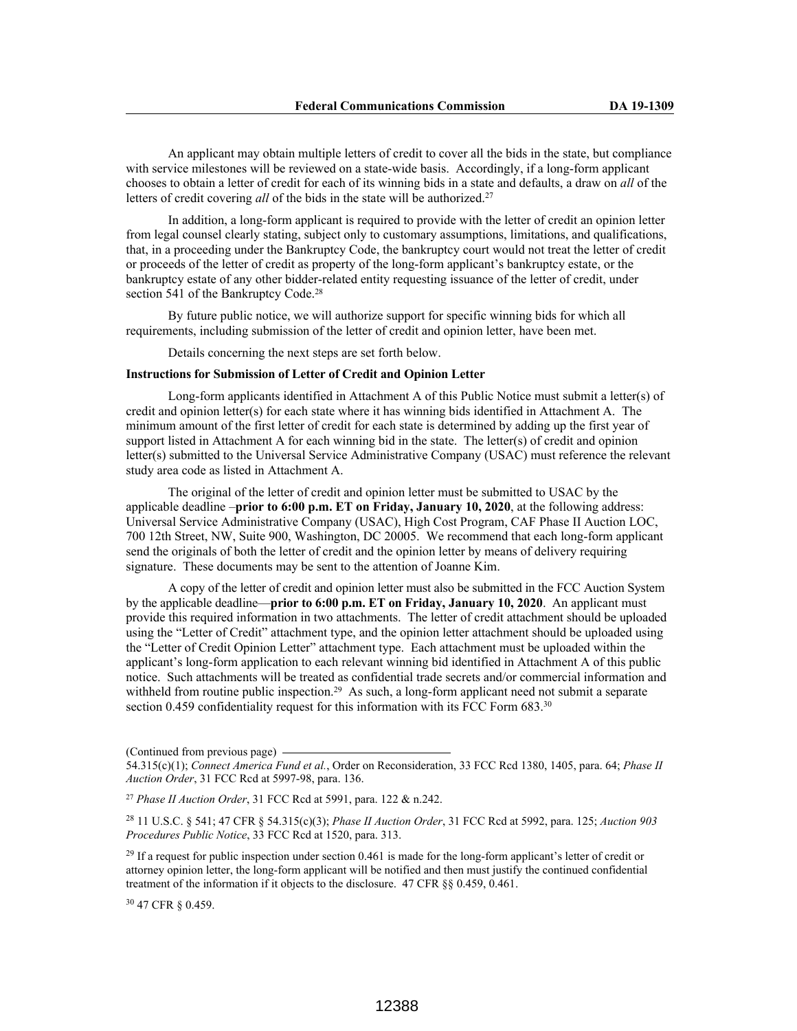An applicant may obtain multiple letters of credit to cover all the bids in the state, but compliance with service milestones will be reviewed on a state-wide basis. Accordingly, if a long-form applicant chooses to obtain a letter of credit for each of its winning bids in a state and defaults, a draw on *all* of the letters of credit covering *all* of the bids in the state will be authorized.<sup>27</sup>

In addition, a long-form applicant is required to provide with the letter of credit an opinion letter from legal counsel clearly stating, subject only to customary assumptions, limitations, and qualifications, that, in a proceeding under the Bankruptcy Code, the bankruptcy court would not treat the letter of credit or proceeds of the letter of credit as property of the long-form applicant's bankruptcy estate, or the bankruptcy estate of any other bidder-related entity requesting issuance of the letter of credit, under section 541 of the Bankruptcy Code.<sup>28</sup>

By future public notice, we will authorize support for specific winning bids for which all requirements, including submission of the letter of credit and opinion letter, have been met.

Details concerning the next steps are set forth below.

## **Instructions for Submission of Letter of Credit and Opinion Letter**

Long-form applicants identified in Attachment A of this Public Notice must submit a letter(s) of credit and opinion letter(s) for each state where it has winning bids identified in Attachment A. The minimum amount of the first letter of credit for each state is determined by adding up the first year of support listed in Attachment A for each winning bid in the state. The letter(s) of credit and opinion letter(s) submitted to the Universal Service Administrative Company (USAC) must reference the relevant study area code as listed in Attachment A.

The original of the letter of credit and opinion letter must be submitted to USAC by the applicable deadline –**prior to 6:00 p.m. ET on Friday, January 10, 2020**, at the following address: Universal Service Administrative Company (USAC), High Cost Program, CAF Phase II Auction LOC, 700 12th Street, NW, Suite 900, Washington, DC 20005. We recommend that each long-form applicant send the originals of both the letter of credit and the opinion letter by means of delivery requiring signature. These documents may be sent to the attention of Joanne Kim.

A copy of the letter of credit and opinion letter must also be submitted in the FCC Auction System by the applicable deadline—**prior to 6:00 p.m. ET on Friday, January 10, 2020**. An applicant must provide this required information in two attachments. The letter of credit attachment should be uploaded using the "Letter of Credit" attachment type, and the opinion letter attachment should be uploaded using the "Letter of Credit Opinion Letter" attachment type. Each attachment must be uploaded within the applicant's long-form application to each relevant winning bid identified in Attachment A of this public notice. Such attachments will be treated as confidential trade secrets and/or commercial information and withheld from routine public inspection.<sup>29</sup> As such, a long-form applicant need not submit a separate section 0.459 confidentiality request for this information with its FCC Form 683.<sup>30</sup>

<sup>30</sup> 47 CFR § 0.459.

<sup>(</sup>Continued from previous page)

<sup>54.315(</sup>c)(1); *Connect America Fund et al.*, Order on Reconsideration, 33 FCC Rcd 1380, 1405, para. 64; *Phase II Auction Order*, 31 FCC Rcd at 5997-98, para. 136.

<sup>27</sup> *Phase II Auction Order*, 31 FCC Rcd at 5991, para. 122 & n.242.

<sup>28</sup> 11 U.S.C. § 541; 47 CFR § 54.315(c)(3); *Phase II Auction Order*, 31 FCC Rcd at 5992, para. 125; *Auction 903 Procedures Public Notice*, 33 FCC Rcd at 1520, para. 313.

<sup>&</sup>lt;sup>29</sup> If a request for public inspection under section 0.461 is made for the long-form applicant's letter of credit or attorney opinion letter, the long-form applicant will be notified and then must justify the continued confidential treatment of the information if it objects to the disclosure. 47 CFR §§ 0.459, 0.461.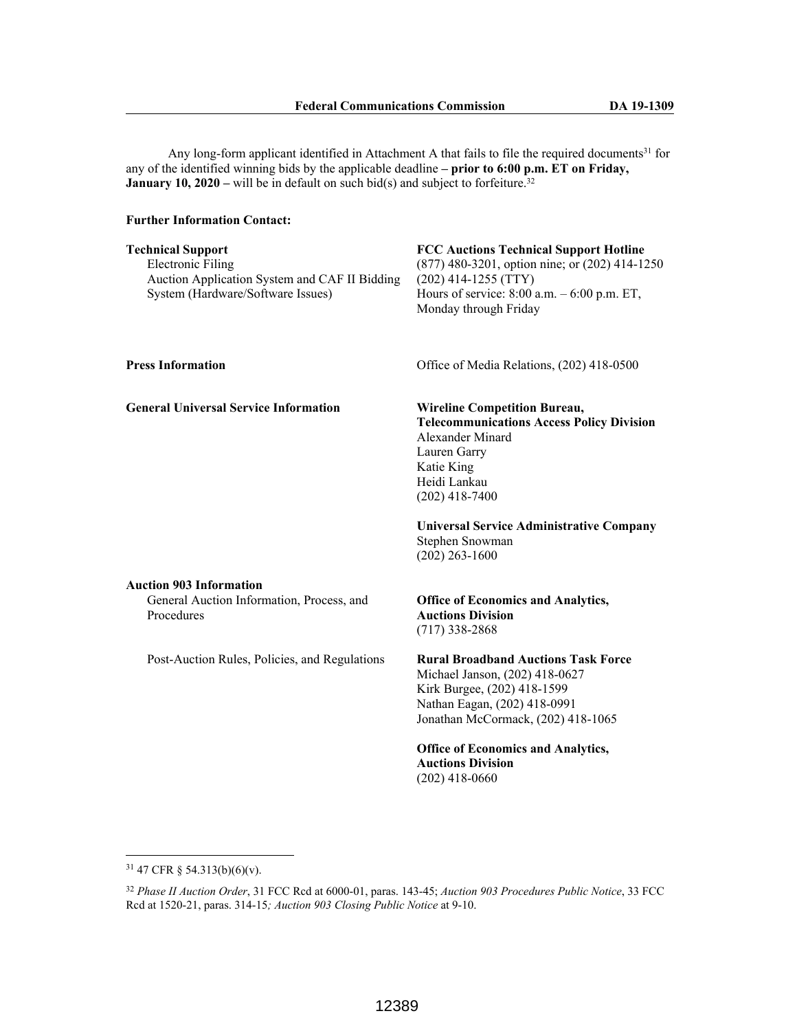Any long-form applicant identified in Attachment A that fails to file the required documents<sup>31</sup> for any of the identified winning bids by the applicable deadline **– prior to 6:00 p.m. ET on Friday, January 10, 2020** – will be in default on such bid(s) and subject to forfeiture.<sup>32</sup>

## **Further Information Contact:**

| <b>Technical Support</b>                      | <b>FCC Auctions Technical Support Hotline</b>      |
|-----------------------------------------------|----------------------------------------------------|
| Electronic Filing                             | $(877)$ 480-3201, option nine; or $(202)$ 414-1250 |
| Auction Application System and CAF II Bidding | $(202)$ 414-1255 (TTY)                             |
| System (Hardware/Software Issues)             | Hours of service: $8:00$ a.m. $-6:00$ p.m. ET,     |
|                                               | Monday through Friday                              |

**General Universal Service Information Wireline Competition Bureau,**

**Press Information** Office of Media Relations, (202) 418-0500

**Telecommunications Access Policy Division** Alexander Minard Lauren Garry Katie King Heidi Lankau (202) 418-7400

**Universal Service Administrative Company** Stephen Snowman (202) 263-1600

## **Auction 903 Information**

General Auction Information, Process, and Procedures

Post-Auction Rules, Policies, and Regulations

## **Office of Economics and Analytics, Auctions Division**  (717) 338-2868

**Rural Broadband Auctions Task Force** Michael Janson, (202) 418-0627 Kirk Burgee, (202) 418-1599 Nathan Eagan, (202) 418-0991 Jonathan McCormack, (202) 418-1065

**Office of Economics and Analytics, Auctions Division**  (202) 418-0660

<sup>31</sup> 47 CFR § 54.313(b)(6)(v).

<sup>32</sup> *Phase II Auction Order*, 31 FCC Rcd at 6000-01, paras. 143-45; *Auction 903 Procedures Public Notice*, 33 FCC Rcd at 1520-21, paras. 314-15*; Auction 903 Closing Public Notice* at 9-10.